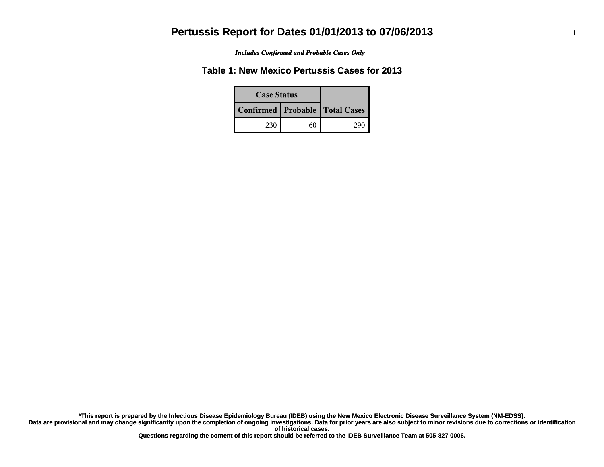*Includes Confirmed and Probable Cases Only*

### **Table 1: New Mexico Pertussis Cases for 2013**

| <b>Case Status</b>                 |    |     |
|------------------------------------|----|-----|
| Confirmed   Probable   Total Cases |    |     |
| 230                                | 60 | 290 |

**Data are provisional and may change significantly upon the completion of ongoing investigations. Data for prior years are also subject to minor revisions due to corrections or identification of historical cases. \*This report is prepared by the Infectious Disease Epidemiology Bureau (IDEB) using the New Mexico Electronic Disease Surveillance System (NM-EDSS).**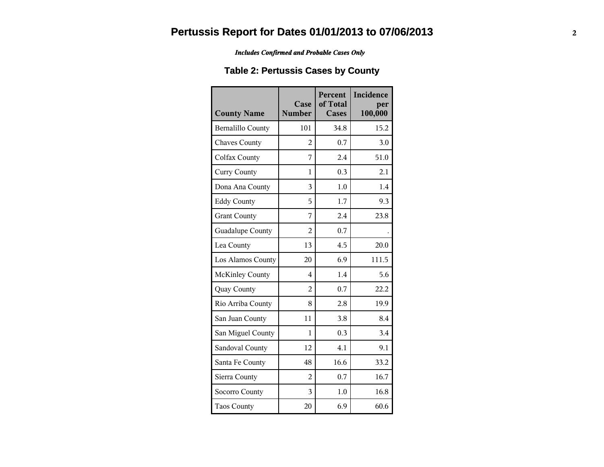#### *Includes Confirmed and Probable Cases Only*

## **Table 2: Pertussis Cases by County**

| <b>County Name</b>       | Case<br><b>Number</b> | Percent<br>of Total<br><b>Cases</b> | Incidence<br>per<br>100,000 |
|--------------------------|-----------------------|-------------------------------------|-----------------------------|
| <b>Bernalillo County</b> | 101                   | 34.8                                | 15.2                        |
| <b>Chaves County</b>     | $\overline{2}$        | 0.7                                 | 3.0                         |
| Colfax County            | 7                     | 2.4                                 | 51.0                        |
| <b>Curry County</b>      | 1                     | 0.3                                 | 2.1                         |
| Dona Ana County          | 3                     | 1.0                                 | 1.4                         |
| <b>Eddy County</b>       | 5                     | 1.7                                 | 9.3                         |
| <b>Grant County</b>      | 7                     | 2.4                                 | 23.8                        |
| Guadalupe County         | $\overline{2}$        | 0.7                                 |                             |
| Lea County               | 13                    | 4.5                                 | 20.0                        |
| Los Alamos County        | 20                    | 6.9                                 | 111.5                       |
| <b>McKinley County</b>   | 4                     | 1.4                                 | 5.6                         |
| Quay County              | $\overline{2}$        | 0.7                                 | 22.2                        |
| Rio Arriba County        | 8                     | 2.8                                 | 19.9                        |
| San Juan County          | 11                    | 3.8                                 | 8.4                         |
| San Miguel County        | 1                     | 0.3                                 | 3.4                         |
| Sandoval County          | 12                    | 4.1                                 | 9.1                         |
| Santa Fe County          | 48                    | 16.6                                | 33.2                        |
| Sierra County            | $\overline{2}$        | 0.7                                 | 16.7                        |
| Socorro County           | 3                     | 1.0                                 | 16.8                        |
| <b>Taos County</b>       | 20                    | 6.9                                 | 60.6                        |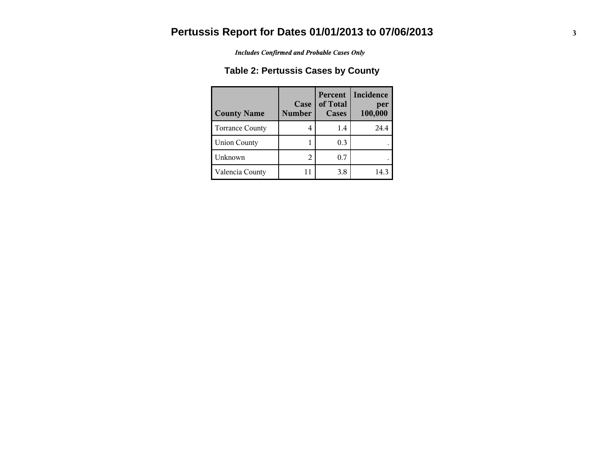*Includes Confirmed and Probable Cases Only*

## **Table 2: Pertussis Cases by County**

| <b>County Name</b>     | Case<br><b>Number</b> | Percent<br>of Total<br>Cases | Incidence<br>per<br>100,000 |
|------------------------|-----------------------|------------------------------|-----------------------------|
| <b>Torrance County</b> |                       | 1.4                          | 24.4                        |
| <b>Union County</b>    |                       | 0.3                          |                             |
| Unknown                |                       | 0.7                          |                             |
| Valencia County        |                       | 3.8                          | 14.3                        |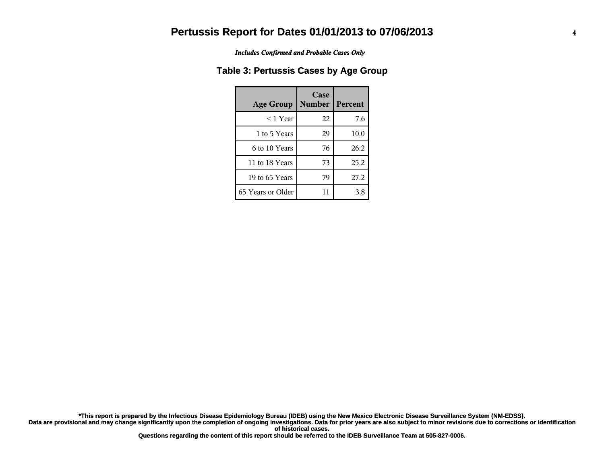*Includes Confirmed and Probable Cases Only*

### **Table 3: Pertussis Cases by Age Group**

| <b>Age Group</b>  | Case<br><b>Number</b> | Percent |
|-------------------|-----------------------|---------|
| $<$ 1 Year        | 22                    | 7.6     |
| 1 to 5 Years      | 29                    | 10.0    |
| 6 to 10 Years     | 76                    | 26.2    |
| 11 to 18 Years    | 73                    | 25.2    |
| 19 to 65 Years    | 79                    | 27.2    |
| 65 Years or Older | 11                    | 3.8     |

**Data are provisional and may change significantly upon the completion of ongoing investigations. Data for prior years are also subject to minor revisions due to corrections or identification of historical cases. \*This report is prepared by the Infectious Disease Epidemiology Bureau (IDEB) using the New Mexico Electronic Disease Surveillance System (NM-EDSS).**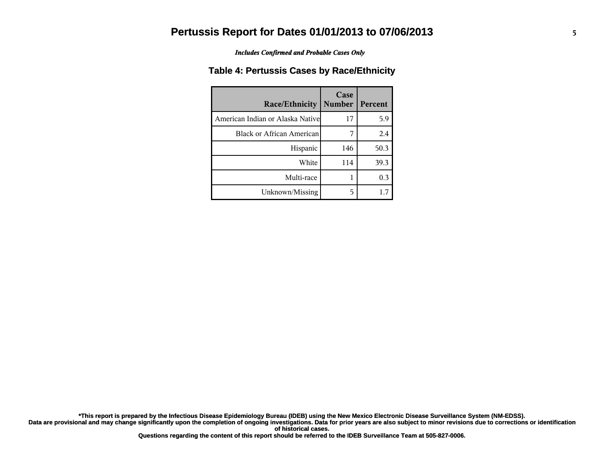*Includes Confirmed and Probable Cases Only*

#### **Table 4: Pertussis Cases by Race/Ethnicity**

| <b>Race/Ethnicity</b>             | Case<br><b>Number</b> | Percent |
|-----------------------------------|-----------------------|---------|
| American Indian or Alaska Nativel | 17                    | 5.9     |
| Black or African American         | 7                     | 2.4     |
| Hispanic                          | 146                   | 50.3    |
| White                             | 114                   | 39.3    |
| Multi-race                        |                       | 0.3     |
| Unknown/Missing                   | 5                     |         |

**Data are provisional and may change significantly upon the completion of ongoing investigations. Data for prior years are also subject to minor revisions due to corrections or identification of historical cases. \*This report is prepared by the Infectious Disease Epidemiology Bureau (IDEB) using the New Mexico Electronic Disease Surveillance System (NM-EDSS).**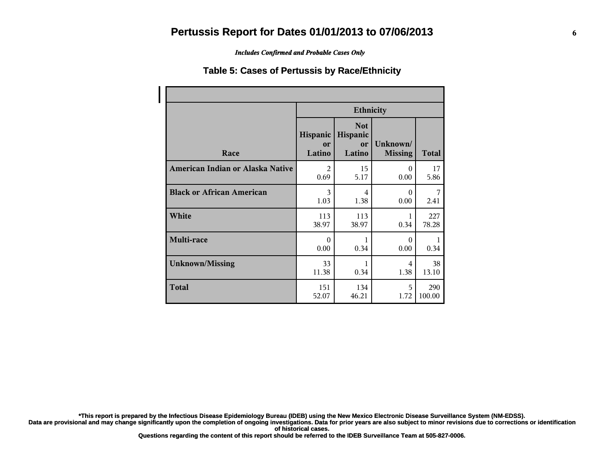*Includes Confirmed and Probable Cases Only*

#### **Table 5: Cases of Pertussis by Race/Ethnicity**

|                                  | <b>Ethnicity</b>         |                                        |                            |              |
|----------------------------------|--------------------------|----------------------------------------|----------------------------|--------------|
| Race                             | Hispanic<br>or<br>Latino | <b>Not</b><br>Hispanic<br>or<br>Latino | Unknown/<br><b>Missing</b> | <b>Total</b> |
| American Indian or Alaska Native | $\mathfrak{D}$           | 15                                     | $\Omega$                   | 17           |
|                                  | 0.69                     | 5.17                                   | 0.00                       | 5.86         |
| <b>Black or African American</b> | 3                        | 4                                      | $\Omega$                   | 7            |
|                                  | 1.03                     | 1.38                                   | 0.00                       | 2.41         |
| White                            | 113                      | 113                                    | 1                          | 227          |
|                                  | 38.97                    | 38.97                                  | 0.34                       | 78.28        |
| Multi-race                       | $\Omega$                 | 1                                      | $\Omega$                   | 1            |
|                                  | 0.00                     | 0.34                                   | 0.00                       | 0.34         |
| <b>Unknown/Missing</b>           | 33                       | 1                                      | 4                          | 38           |
|                                  | 11.38                    | 0.34                                   | 1.38                       | 13.10        |
| <b>Total</b>                     | 151                      | 134                                    | 5                          | 290          |
|                                  | 52.07                    | 46.21                                  | 1.72                       | 100.00       |

**\*This report is prepared by the Infectious Disease Epidemiology Bureau (IDEB) using the New Mexico Electronic Disease Surveillance System (NM-EDSS).**

**Data are provisional and may change significantly upon the completion of ongoing investigations. Data for prior years are also subject to minor revisions due to corrections or identification of historical cases.**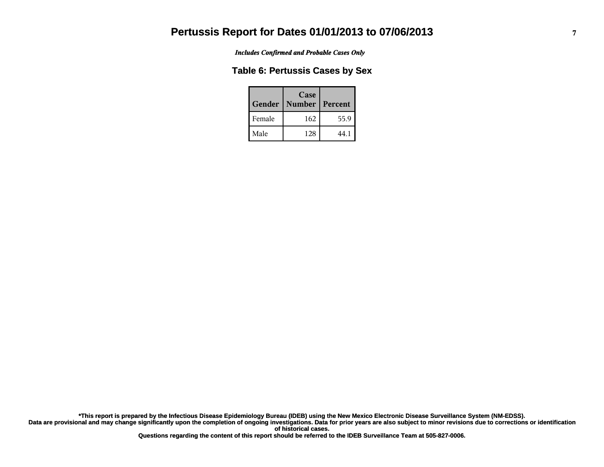*Includes Confirmed and Probable Cases Only*

#### **Table 6: Pertussis Cases by Sex**

| Gender | Case<br><b>Number</b> | Percent |
|--------|-----------------------|---------|
| Female | 162                   | 55.9    |
| Male   | 128                   | 44.1    |

**Data are provisional and may change significantly upon the completion of ongoing investigations. Data for prior years are also subject to minor revisions due to corrections or identification of historical cases. \*This report is prepared by the Infectious Disease Epidemiology Bureau (IDEB) using the New Mexico Electronic Disease Surveillance System (NM-EDSS).**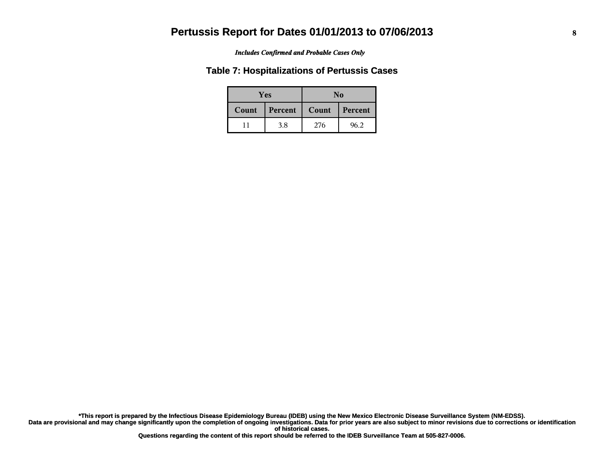#### *Includes Confirmed and Probable Cases Only*

#### **Table 7: Hospitalizations of Pertussis Cases**

|       | <b>Yes</b> | No               |      |
|-------|------------|------------------|------|
| Count | Percent    | Count<br>Percent |      |
|       | 3.8        | 276              | 96.2 |

**Data are provisional and may change significantly upon the completion of ongoing investigations. Data for prior years are also subject to minor revisions due to corrections or identification of historical cases. \*This report is prepared by the Infectious Disease Epidemiology Bureau (IDEB) using the New Mexico Electronic Disease Surveillance System (NM-EDSS).**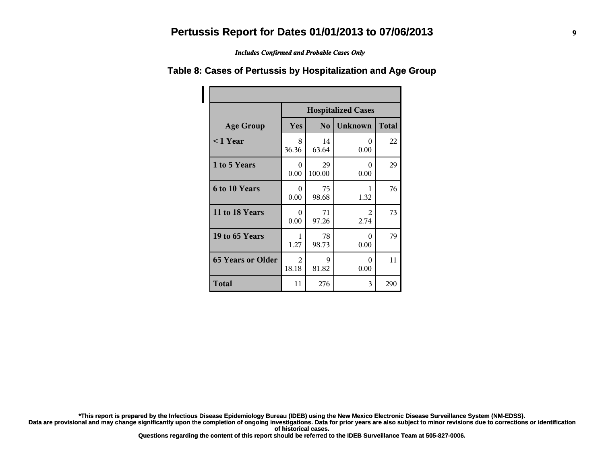*Includes Confirmed and Probable Cases Only*

|                          | <b>Hospitalized Cases</b> |                |                  |              |
|--------------------------|---------------------------|----------------|------------------|--------------|
| <b>Age Group</b>         | Yes                       | N <sub>0</sub> | <b>Unknown</b>   | <b>Total</b> |
| $<$ 1 Year               | 8<br>36.36                | 14<br>63.64    | $\Omega$<br>0.00 | 22           |
| 1 to 5 Years             | 0<br>0.00                 | 29<br>100.00   | 0<br>0.00        | 29           |
| 6 to 10 Years            | $\theta$<br>0.00          | 75<br>98.68    | 1<br>1.32        | 76           |
| 11 to 18 Years           | $\theta$<br>0.00          | 71<br>97.26    | 2<br>2.74        | 73           |
| 19 to 65 Years           | 1<br>1.27                 | 78<br>98.73    | 0<br>0.00        | 79           |
| <b>65 Years or Older</b> | 2<br>18.18                | 9<br>81.82     | 0<br>0.00        | 11           |
| <b>Total</b>             | 11                        | 276            | 3                | 290          |

#### **Table 8: Cases of Pertussis by Hospitalization and Age Group**

**\*This report is prepared by the Infectious Disease Epidemiology Bureau (IDEB) using the New Mexico Electronic Disease Surveillance System (NM-EDSS).**

**Data are provisional and may change significantly upon the completion of ongoing investigations. Data for prior years are also subject to minor revisions due to corrections or identification of historical cases.**